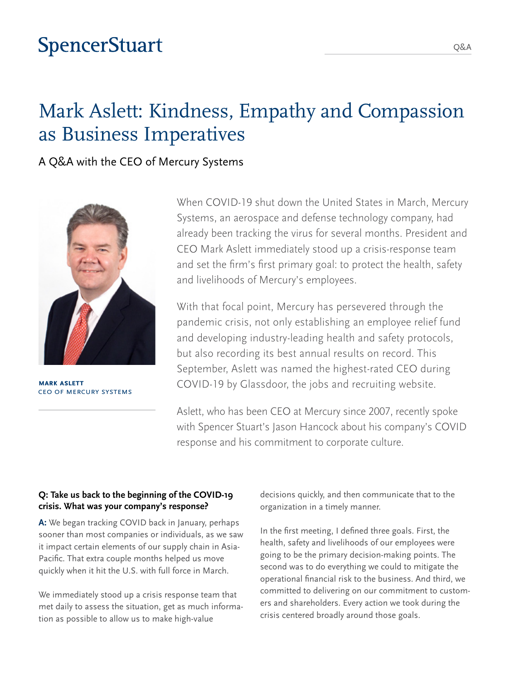## **SpencerStuart**

## Mark Aslett: Kindness, Empathy and Compassion as Business Imperatives

A Q&A with the CEO of Mercury Systems



**Mark Aslett** CEO of Mercury Systems

When COVID-19 shut down the United States in March, Mercury Systems, an aerospace and defense technology company, had already been tracking the virus for several months. President and CEO Mark Aslett immediately stood up a crisis-response team and set the firm's first primary goal: to protect the health, safety and livelihoods of Mercury's employees.

With that focal point, Mercury has persevered through the pandemic crisis, not only establishing an employee relief fund and developing industry-leading health and safety protocols, but also recording its best annual results on record. This September, Aslett was named the highest-rated CEO during COVID-19 by Glassdoor, the jobs and recruiting website.

Aslett, who has been CEO at Mercury since 2007, recently spoke with Spencer Stuart's Jason Hancock about his company's COVID response and his commitment to corporate culture.

#### **Q: Take us back to the beginning of the COVID-19 crisis. What was your company's response?**

**A:** We began tracking COVID back in January, perhaps sooner than most companies or individuals, as we saw it impact certain elements of our supply chain in Asia-Pacific. That extra couple months helped us move quickly when it hit the U.S. with full force in March.

We immediately stood up a crisis response team that met daily to assess the situation, get as much information as possible to allow us to make high-value

decisions quickly, and then communicate that to the organization in a timely manner.

In the first meeting, I defined three goals. First, the health, safety and livelihoods of our employees were going to be the primary decision-making points. The second was to do everything we could to mitigate the operational financial risk to the business. And third, we committed to delivering on our commitment to customers and shareholders. Every action we took during the crisis centered broadly around those goals.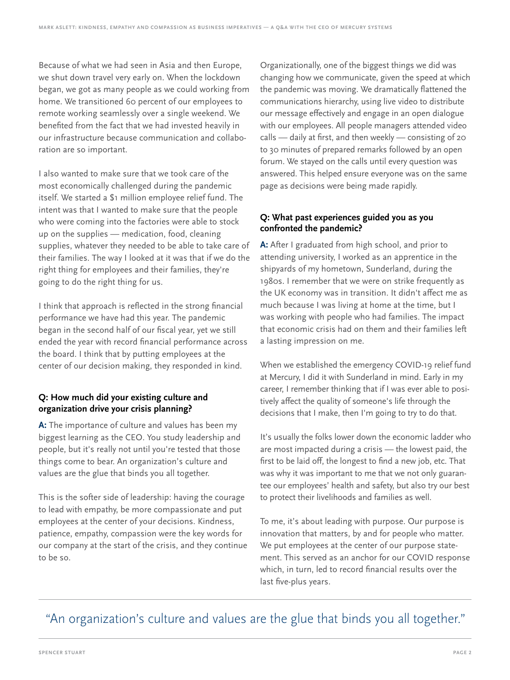Because of what we had seen in Asia and then Europe, we shut down travel very early on. When the lockdown began, we got as many people as we could working from home. We transitioned 60 percent of our employees to remote working seamlessly over a single weekend. We benefited from the fact that we had invested heavily in our infrastructure because communication and collaboration are so important.

I also wanted to make sure that we took care of the most economically challenged during the pandemic itself. We started a \$1 million employee relief fund. The intent was that I wanted to make sure that the people who were coming into the factories were able to stock up on the supplies — medication, food, cleaning supplies, whatever they needed to be able to take care of their families. The way I looked at it was that if we do the right thing for employees and their families, they're going to do the right thing for us.

I think that approach is reflected in the strong financial performance we have had this year. The pandemic began in the second half of our fiscal year, yet we still ended the year with record financial performance across the board. I think that by putting employees at the center of our decision making, they responded in kind.

### **Q: How much did your existing culture and organization drive your crisis planning?**

**A:** The importance of culture and values has been my biggest learning as the CEO. You study leadership and people, but it's really not until you're tested that those things come to bear. An organization's culture and values are the glue that binds you all together.

This is the softer side of leadership: having the courage to lead with empathy, be more compassionate and put employees at the center of your decisions. Kindness, patience, empathy, compassion were the key words for our company at the start of the crisis, and they continue to be so.

Organizationally, one of the biggest things we did was changing how we communicate, given the speed at which the pandemic was moving. We dramatically flattened the communications hierarchy, using live video to distribute our message effectively and engage in an open dialogue with our employees. All people managers attended video calls — daily at first, and then weekly — consisting of 20 to 30 minutes of prepared remarks followed by an open forum. We stayed on the calls until every question was answered. This helped ensure everyone was on the same page as decisions were being made rapidly.

#### **Q: What past experiences guided you as you confronted the pandemic?**

**A:** After I graduated from high school, and prior to attending university, I worked as an apprentice in the shipyards of my hometown, Sunderland, during the 1980s. I remember that we were on strike frequently as the UK economy was in transition. It didn't affect me as much because I was living at home at the time, but I was working with people who had families. The impact that economic crisis had on them and their families left a lasting impression on me.

When we established the emergency COVID-19 relief fund at Mercury, I did it with Sunderland in mind. Early in my career, I remember thinking that if I was ever able to positively affect the quality of someone's life through the decisions that I make, then I'm going to try to do that.

It's usually the folks lower down the economic ladder who are most impacted during a crisis — the lowest paid, the first to be laid off, the longest to find a new job, etc. That was why it was important to me that we not only guarantee our employees' health and safety, but also try our best to protect their livelihoods and families as well.

To me, it's about leading with purpose. Our purpose is innovation that matters, by and for people who matter. We put employees at the center of our purpose statement. This served as an anchor for our COVID response which, in turn, led to record financial results over the last five-plus years.

### "An organization's culture and values are the glue that binds you all together."